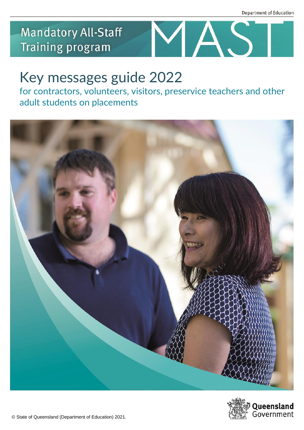## **Mandatory All-Staff Training program**



# Key messages guide 2022

for contractors, volunteers, visitors, preservice teachers and other adult students on placements



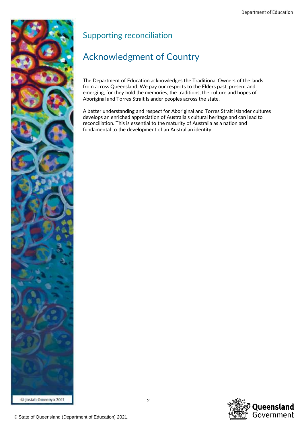

## Supporting reconciliation

## Acknowledgment of Country

The Department of Education acknowledges the Traditional Owners of the lands from across Queensland. We pay our respects to the Elders past, present and emerging, for they hold the memories, the traditions, the culture and hopes of Aboriginal and Torres Strait Islander peoples across the state.

A better understanding and respect for Aboriginal and Torres Strait Islander cultures develops an enriched appreciation of Australia's cultural heritage and can lead to reconciliation. This is essential to the maturity of Australia as a nation and fundamental to the development of an Australian identity.

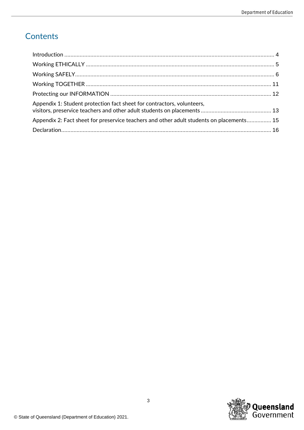## Contents

| Appendix 1: Student protection fact sheet for contractors, volunteers,                   |  |
|------------------------------------------------------------------------------------------|--|
| Appendix 2: Fact sheet for preservice teachers and other adult students on placements 15 |  |
|                                                                                          |  |

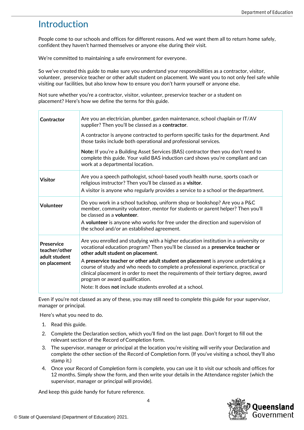## Introduction

People come to our schools and offices for different reasons. And we want them all to return home safely, confident they haven't harmed themselves or anyone else during their visit.

We're committed to maintaining a safe environment for everyone.

So we've created this guide to make sure you understand your responsibilities as a contractor, visitor, volunteer, preservice teacher or other adult student on placement. We want you to not only feel safe while visiting our facilities, but also know how to ensure you don't harm yourself or anyone else.

Not sure whether you're a contractor, visitor, volunteer, preservice teacher or a student on placement? Here's how we define the terms for this guide.

| Contractor                                                   | Are you an electrician, plumber, garden maintenance, school chaplain or IT/AV<br>supplier? Then you'll be classed as a contractor.<br>A contractor is anyone contracted to perform specific tasks for the department. And<br>those tasks include both operational and professional services.<br>Note: If you're a Building Asset Services (BAS) contractor then you don't need to<br>complete this guide. Your valid BAS induction card shows you're compliant and can<br>work at a departmental location.                                                                   |
|--------------------------------------------------------------|------------------------------------------------------------------------------------------------------------------------------------------------------------------------------------------------------------------------------------------------------------------------------------------------------------------------------------------------------------------------------------------------------------------------------------------------------------------------------------------------------------------------------------------------------------------------------|
| <b>Visitor</b>                                               | Are you a speech pathologist, school-based youth health nurse, sports coach or<br>religious instructor? Then you'll be classed as a visitor.<br>A visitor is anyone who regularly provides a service to a school or the department.                                                                                                                                                                                                                                                                                                                                          |
| Volunteer                                                    | Do you work in a school tuckshop, uniform shop or bookshop? Are you a P&C<br>member, community volunteer, mentor for students or parent helper? Then you'll<br>be classed as a <b>volunteer</b> .<br>A volunteer is anyone who works for free under the direction and supervision of<br>the school and/or an established agreement.                                                                                                                                                                                                                                          |
| Preservice<br>teacher/other<br>adult student<br>on placement | Are you enrolled and studying with a higher education institution in a university or<br>vocational education program? Then you'll be classed as a preservice teacher or<br>other adult student on placement.<br>A preservice teacher or other adult student on placement is anyone undertaking a<br>course of study and who needs to complete a professional experience, practical or<br>clinical placement in order to meet the requirements of their tertiary degree, award<br>program or award qualification.<br>Note: It does not include students enrolled at a school. |

Even if you're not classed as any of these, you may still need to complete this guide for your supervisor, manager or principal.

Here's what you need to do.

- 1. Read this guide.
- 2. Complete the Declaration section, which you'll find on the last page. Don't forget to fill out the relevant section of the Record of Completion form.
- 3. The supervisor, manager or principal at the location you're visiting will verify your Declaration and complete the other section of the Record of Completion form. (If you've visiting a school, they'll also stamp it.)
- 4. Once your Record of Completion form is complete, you can use it to visit our schools and offices for 12 months. Simply show the form, and then write your details in the Attendance register (which the supervisor, manager or principal will provide).

And keep this guide handy for future reference.

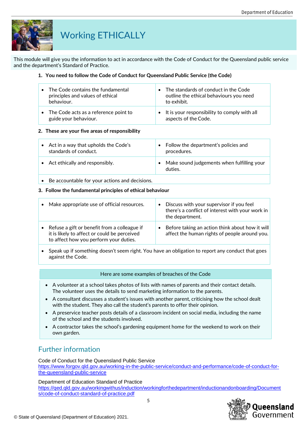

## Working ETHICALLY

This module will give you the information to act in accordance with the Code of Conduct for the Queensland public service and the department's Standard of Practice.

#### **1. You need to follow the Code of Conduct for Queensland Public Service (the Code)**

| $\bullet$ | The Code contains the fundamental<br>principles and values of ethical<br>behaviour. | The standards of conduct in the Code<br>outline the ethical behaviours you need<br>to exhibit. |
|-----------|-------------------------------------------------------------------------------------|------------------------------------------------------------------------------------------------|
|           | • The Code acts as a reference point to<br>guide your behaviour.                    | • It is your responsibility to comply with all<br>aspects of the Code.                         |

#### **2. These are your five areas of responsibility**

| Act in a way that upholds the Code's<br>standards of conduct. | Follow the department's policies and<br>procedures.   |
|---------------------------------------------------------------|-------------------------------------------------------|
| • Act ethically and responsibly.                              | Make sound judgements when fulfilling your<br>duties. |

• Be accountable for your actions and decisions.

#### **3. Follow the fundamental principles of ethical behaviour**

| Make appropriate use of official resources.                                                                                            | Discuss with your supervisor if you feel<br>there's a conflict of interest with your work in<br>the department. |
|----------------------------------------------------------------------------------------------------------------------------------------|-----------------------------------------------------------------------------------------------------------------|
| Refuse a gift or benefit from a colleague if<br>it is likely to affect or could be perceived<br>to affect how you perform your duties. | Before taking an action think about how it will<br>affect the human rights of people around you.                |

• Speak up if something doesn't seem right. You have an obligation to report any conduct that goes against the Code.

#### Here are some examples of breaches of the Code

- A volunteer at a school takes photos of lists with names of parents and their contact details. The volunteer uses the details to send marketing information to the parents.
- A consultant discusses a student's issues with another parent, criticising how the school dealt with the student. They also call the student's parents to offer their opinion.
- A preservice teacher posts details of a classroom incident on social media, including the name of the school and the students involved.
- A contractor takes the school's gardening equipment home for the weekend to work on their own garden.

## Further information

Code of Conduct for the Queensland Public Service [https://www.forgov.qld.gov.au/working-in-the-public-service/conduct-and-performance/code-of-conduct-for](https://www.forgov.qld.gov.au/working-in-the-public-service/conduct-and-performance/code-of-conduct-for-the-queensland-public-service)[the-queensland-public-service](https://www.forgov.qld.gov.au/working-in-the-public-service/conduct-and-performance/code-of-conduct-for-the-queensland-public-service)

#### Department of Education Standard of Practice

[https://qed.qld.gov.au/workingwithus/induction/workingforthedepartment/inductionandonboarding/Document](https://qed.qld.gov.au/workingwithus/induction/workingforthedepartment/inductionandonboarding/Documents/code-of-conduct-standard-of-practice.pdf) [s/code-of-conduct-standard-of-practice.pdf](https://qed.qld.gov.au/workingwithus/induction/workingforthedepartment/inductionandonboarding/Documents/code-of-conduct-standard-of-practice.pdf)

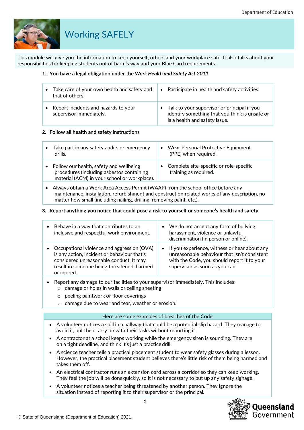

## Working SAFELY

This module will give you the information to keep yourself, others and your workplace safe. It also talks about your responsibilities for keeping students out of harm's way and your Blue Card requirements.

#### **1. You have a legal obligation under the** *Work Health and Safety Act 2011*

| $\bullet$ | Take care of your own health and safety and<br>that of others.  | • Participate in health and safety activities.                                                                                   |
|-----------|-----------------------------------------------------------------|----------------------------------------------------------------------------------------------------------------------------------|
|           | Report incidents and hazards to your<br>supervisor immediately. | • Talk to your supervisor or principal if you<br>identify something that you think is unsafe or<br>is a health and safety issue. |

#### **2. Follow all health and safety instructions**

|           | Take part in any safety audits or emergency<br>drills.                                                                               | $\bullet$ | Wear Personal Protective Equipment<br>(PPE) when required.       |
|-----------|--------------------------------------------------------------------------------------------------------------------------------------|-----------|------------------------------------------------------------------|
| $\bullet$ | Follow our health, safety and wellbeing<br>procedures (including asbestos containing<br>material (ACM) in your school or workplace). |           | Complete site-specific or role-specific<br>training as required. |

• Always obtain a Work Area Access Permit (WAAP) from the school office before any maintenance, installation, refurbishment and construction related works of any description, no matter how small (including nailing, drilling, removing paint, etc.).

#### **3. Report anything you notice that could pose a risk to yourself or someone's health and safety**

| Behave in a way that contributes to an<br>inclusive and respectful work environment.                                                                                                              | We do not accept any form of bullying,<br>harassment, violence or unlawful<br>discrimination (in person or online).                                                             |
|---------------------------------------------------------------------------------------------------------------------------------------------------------------------------------------------------|---------------------------------------------------------------------------------------------------------------------------------------------------------------------------------|
| Occupational violence and aggression (OVA)<br>is any action, incident or behaviour that's<br>considered unreasonable conduct. It may<br>result in someone being threatened, harmed<br>or injured. | • If you experience, witness or hear about any<br>unreasonable behaviour that isn't consistent<br>with the Code, you should report it to your<br>supervisor as soon as you can. |
|                                                                                                                                                                                                   |                                                                                                                                                                                 |

- Report any damage to our facilities to your supervisor immediately. This includes: o damage or holes in walls or ceiling sheeting
	- o peeling paintwork or floor coverings
	- o damage due to wear and tear, weather or erosion.

#### Here are some examples of breaches of the Code

- A volunteer notices a spill in a hallway that could be a potential slip hazard. They manage to avoid it, but then carry on with their tasks without reporting it.
- A contractor at a school keeps working while the emergency siren is sounding. They are on a tight deadline, and think it's just a practice drill.
- A science teacher tells a practical placement student to wear safety glasses during a lesson. However, the practical placement student believes there's little risk of them being harmed and takes them off.
- An electrical contractor runs an extension cord across a corridor so they can keep working. They feel the job will be done quickly, so it is not necessary to put up any safety signage.
- A volunteer notices a teacher being threatened by another person. They ignore the situation instead of reporting it to their supervisor or the principal.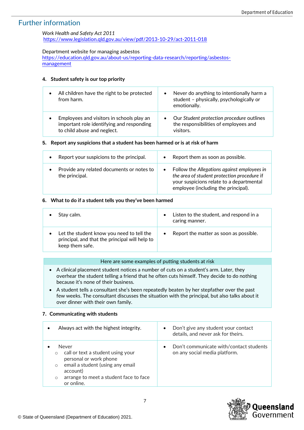## Further information

### *Work Health and Safety Act 2011*

<https://www.legislation.qld.gov.au/view/pdf/2013-10-29/act-2011-018>

#### Department website for managing asbestos

[https://education.qld.gov.au/about-us/reporting-data-research/reporting/asbestos](https://education.qld.gov.au/about-us/reporting-data-research/reporting/asbestos-management)[management](https://education.qld.gov.au/about-us/reporting-data-research/reporting/asbestos-management)

#### **4. Student safety is our top priority**

| All children have the right to be protected<br>from harm.                                                             | $\bullet$ | Never do anything to intentionally harm a<br>student - physically, psychologically or<br>emotionally. |
|-----------------------------------------------------------------------------------------------------------------------|-----------|-------------------------------------------------------------------------------------------------------|
| Employees and visitors in schools play an<br>important role identifying and responding<br>to child abuse and neglect. | $\bullet$ | Our Student protection procedure outlines<br>the responsibilities of employees and<br>visitors.       |

#### **5. Report any suspicions that a student has been harmed or is at risk of harm**

| Report your suspicions to the principal.                    | Report them as soon as possible.                                                                                                                                                           |
|-------------------------------------------------------------|--------------------------------------------------------------------------------------------------------------------------------------------------------------------------------------------|
| $\bullet$                                                   | $\bullet$                                                                                                                                                                                  |
| Provide any related documents or notes to<br>the principal. | Follow the Allegations against employees in<br>$\bullet$<br>the area of student protection procedure if<br>your suspicions relate to a departmental<br>employee (including the principal). |

#### **6. What to do if a student tells you they've been harmed**

| Stay calm.                                                                                                     | $\bullet$ | Listen to the student, and respond in a<br>caring manner. |
|----------------------------------------------------------------------------------------------------------------|-----------|-----------------------------------------------------------|
| Let the student know you need to tell the<br>principal, and that the principal will help to<br>keep them safe. | $\bullet$ | Report the matter as soon as possible.                    |

#### Here are some examples of putting students at risk

- A clinical placement student notices a number of cuts on a student's arm. Later, they overhear the student telling a friend that he often cuts himself. They decide to do nothing because it's none of their business.
- A student tells a consultant she's been repeatedly beaten by her stepfather over the past few weeks. The consultant discusses the situation with the principal, but also talks about it over dinner with their own family.

#### **7. Communicating with students**

|                               | Always act with the highest integrity.                                                                                                                                       | Don't give any student your contact<br>$\bullet$<br>details, and never ask for theirs. |
|-------------------------------|------------------------------------------------------------------------------------------------------------------------------------------------------------------------------|----------------------------------------------------------------------------------------|
| $\circ$<br>$\circ$<br>$\circ$ | Never<br>call or text a student using your<br>personal or work phone<br>email a student (using any email<br>account)<br>arrange to meet a student face to face<br>or online. | Don't communicate with/contact students<br>$\bullet$<br>on any social media platform.  |

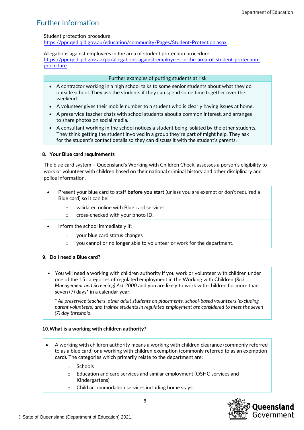## Further Information

Student protection procedure

<https://ppr.qed.qld.gov.au/education/community/Pages/Student-Protection.aspx>

Allegations against employees in the area of student protection procedure [https://ppr.qed.qld.gov.au/pp/allegations-against-employees-in-the-area-of-student-protection](https://ppr.qed.qld.gov.au/pp/allegations-against-employees-in-the-area-of-student-protection-procedure)[procedure](https://ppr.qed.qld.gov.au/pp/allegations-against-employees-in-the-area-of-student-protection-procedure)

#### Further examples of putting students at risk

- A contractor working in a high school talks to some senior students about what they do outside school. They ask the students if they can spend some time together over the weekend.
- A volunteer gives their mobile number to a student who is clearly having issues at home.
- A preservice teacher chats with school students about a common interest, and arranges to share photos on social media.
- A consultant working in the school notices a student being isolated by the other students. They think getting the student involved in a group they're part of might help. They ask for the student's contact details so they can discuss it with the student's parents.

#### **8. Your Blue card requirements**

The blue card system – Queensland's Working with Children Check, assesses a person's eligibility to work or volunteer with children based on their national criminal history and other disciplinary and police information.

- Present your blue card to staff **before you start** (unless you are exempt or don't required a Blue card) so it can be:
	- o validated online with Blue card services
	- o cross-checked with your photo ID.
- Inform the school immediately if:
	- o your blue card status changes
	- o you cannot or no longer able to volunteer or work for the department.

#### **9. Do I need a Blue card?**

• You will need a working with children authority if you work or volunteer with children under one of the 15 categories of regulated employment in the Working with Children *(Risk Management and Screening) Act 2000* and you are likely to work with children for more than seven (7) days\* in a calendar year.

*\* All preservice teachers*, *other adult students on placements, school-based volunteers (excluding parent volunteers) and trainee students in regulated employment are considered to meet the seven (7) day threshold.*

#### **10.What is a working with children authority?**

- A working with children authority means a working with children clearance (commonly referred to as a blue card) or a working with children exemption (commonly referred to as an exemption card). The categories which primarily relate to the department are:
	- o Schools
	- o Education and care services and similar employment (OSHC services and Kindergartens)
	- o Child accommodation services including home stays

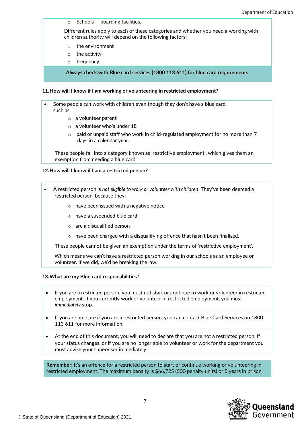$\circ$  Schools – boarding facilities.

Different rules apply to each of these categories and whether you need a working with children authority will depend on the following factors:

- o the environment
- o the activity
- o frequency.

**Always check with Blue card services (1800 113 611) for blue card requirements.**

#### **11.How will I know if I am working or volunteering in restricted employment?**

• Some people *can* work with children even though they don't have a blue card, such as:

- o a volunteer parent
- o a volunteer who's under 18
- $\circ$  paid or unpaid staff who work in child-regulated employment for no more than 7 days in a calendar year.

These people fall into a category known as 'restrictive employment', which gives them an exemption from needing a blue card.

#### **12.How will I know if I am a restricted person?**

- A restricted person is *not eligible to work or volunteer with children*. They've been deemed a 'restricted person' because they:
	- o have been issued with a negative notice
	- o have a suspended blue card
	- o are a disqualified person
	- $\circ$  have been charged with a disqualifying offence that hasn't been finalised.

These people cannot be given an exemption under the terms of 'restrictive employment'.

Which means we can't have a restricted person working in our schools as an employee or volunteer. If we did, we'd be breaking the law.

#### **13.What are my Blue card responsibilities?**

- If you are a restricted person, you must not start or continue to work or volunteer in restricted employment. If you currently work or volunteer in restricted employment, you must *immediately* stop.
- If you are not sure if you are a restricted person, you can contact Blue Card Services on 1800 113 611 for more information.
- At the end of this document, you will need to declare that you are not a restricted person. If your status changes, or if you are no longer able to volunteer or work for the department you must advise your supervisor immediately.

**Remembe**r: It's an offence for a restricted person to start or continue working or volunteering in restricted employment. The maximum penalty is \$66,725 (500 penalty units) or 5 years in prison.

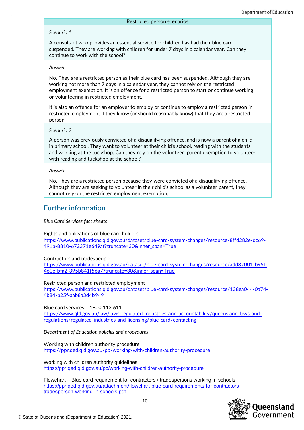#### Restricted person scenarios

#### *Scenario 1*

A consultant who provides an essential service for children has had their blue card suspended. They are working with children for under 7 days in a calendar year. Can they continue to work with the school?

#### *Answer*

No. They are a restricted person as their blue card has been suspended. Although they are working not more than 7 days in a calendar year, they cannot rely on the restricted employment exemption. It is an offence for a restricted person to start or continue working or volunteering in restricted employment.

It is also an offence for an employer to employ or continue to employ a restricted person in restricted employment if they know (or should reasonably know) that they are a restricted person.

#### *Scenario 2*

A person was previously convicted of a disqualifying offence, and is now a parent of a child in primary school. They want to volunteer at their child's school, reading with the students and working at the tuckshop. Can they rely on the volunteer–parent exemption to volunteer with reading and tuckshop at the school?

#### *Answer*

No. They are a restricted person because they were convicted of a disqualifying offence. Although they are seeking to volunteer in their child's school as a volunteer parent, they cannot rely on the restricted employment exemption.

## Further information

*Blue Card Services fact sheets*

#### Rights and obligations of blue card holders

[https://www.publications.qld.gov.au/dataset/blue-card-system-changes/resource/8ffd282e-dc69-](https://www.publications.qld.gov.au/dataset/blue-card-system-changes/resource/8ffd282e-dc69-491b-8810-672371e649af?truncate=30&inner_span=True) [491b-8810-672371e649af?truncate=30&inner\\_span=True](https://www.publications.qld.gov.au/dataset/blue-card-system-changes/resource/8ffd282e-dc69-491b-8810-672371e649af?truncate=30&inner_span=True)

#### Contractors and tradespeople

[https://www.publications.qld.gov.au/dataset/blue-card-system-changes/resource/add37001-b95f-](https://www.publications.qld.gov.au/dataset/blue-card-system-changes/resource/add37001-b95f-460e-bfa2-395b841f56a7?truncate=30&inner_span=True)[460e-bfa2-395b841f56a7?truncate=30&inner\\_span=True](https://www.publications.qld.gov.au/dataset/blue-card-system-changes/resource/add37001-b95f-460e-bfa2-395b841f56a7?truncate=30&inner_span=True)

#### Restricted person and restricted employment

[https://www.publications.qld.gov.au/dataset/blue-card-system-changes/resource/138ea044-0a74-](https://www.publications.qld.gov.au/dataset/blue-card-system-changes/resource/138ea044-0a74-4b84-b25f-aab8a3d4b949) [4b84-b25f-aab8a3d4b949](https://www.publications.qld.gov.au/dataset/blue-card-system-changes/resource/138ea044-0a74-4b84-b25f-aab8a3d4b949)

Blue card services – 1800 113 611

[https://www.qld.gov.au/law/laws-regulated-industries-and-accountability/queensland-laws-and](https://www.qld.gov.au/law/laws-regulated-industries-and-accountability/queensland-laws-and-regulations/regulated-industries-and-licensing/blue-card/contacting)[regulations/regulated-industries-and-licensing/blue-card/contacting](https://www.qld.gov.au/law/laws-regulated-industries-and-accountability/queensland-laws-and-regulations/regulated-industries-and-licensing/blue-card/contacting)

#### *Department of Education policies and procedures*

Working with children authority procedure <https://ppr.qed.qld.gov.au/pp/working-with-children-authority-procedure>

Working with children authority guidelines <https://ppr.qed.qld.gov.au/pp/working-with-children-authority-procedure>

Flowchart – Blue card requirement for contractors / tradespersons working in schools [https://ppr.qed.qld.gov.au/attachment/flowchart-blue-card-requirements-for-contractors](https://ppr.qed.qld.gov.au/attachment/flowchart-blue-card-requirements-for-contractors-tradesperson-working-in-schools.pdf)[tradesperson-working-in-schools.pdf](https://ppr.qed.qld.gov.au/attachment/flowchart-blue-card-requirements-for-contractors-tradesperson-working-in-schools.pdf)

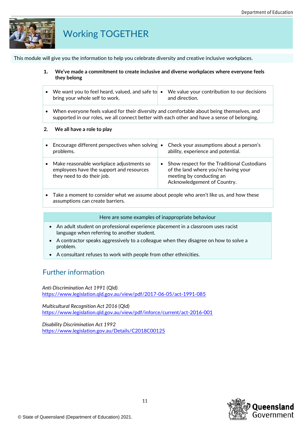

## Working TOGETHER

This module will give you the information to help you celebrate diversity and creative inclusive workplaces.

- **1. We've made a commitment to create inclusive and diverse workplaces where everyone feels they belong**
- We want you to feel heard, valued, and safe to  $\bullet$  We value your contribution to our decisions bring your whole self to work. and direction.
- When everyone feels valued for their diversity and comfortable about being themselves, and supported in our roles, we all connect better with each other and have a sense of belonging.

#### **2. We all have a role to play**

| $\bullet$ | Encourage different perspectives when solving •<br>problems.                                                         |           | Check your assumptions about a person's<br>ability, experience and potential.                                                                  |
|-----------|----------------------------------------------------------------------------------------------------------------------|-----------|------------------------------------------------------------------------------------------------------------------------------------------------|
|           | • Make reasonable workplace adjustments so<br>employees have the support and resources<br>they need to do their job. | $\bullet$ | Show respect for the Traditional Custodians<br>of the land where you're having your<br>meeting by conducting an<br>Acknowledgement of Country. |

• Take a moment to consider what we assume about people who aren't like us, and how these assumptions can create barriers.

#### Here are some examples of inappropriate behaviour

- An adult student on professional experience placement in a classroom uses racist language when referring to another student.
- A contractor speaks aggressively to a colleague when they disagree on how to solve a problem.
- A consultant refuses to work with people from other ethnicities.

## Further information

*Anti-Discrimination Act 1991* (Qld) <https://www.legislation.qld.gov.au/view/pdf/2017-06-05/act-1991-085>

*Multicultural Recognition Act 2016* (Qld) <https://www.legislation.qld.gov.au/view/pdf/inforce/current/act-2016-001>

*Disability Discrimination Act 1992*  <https://www.legislation.gov.au/Details/C2018C00125>

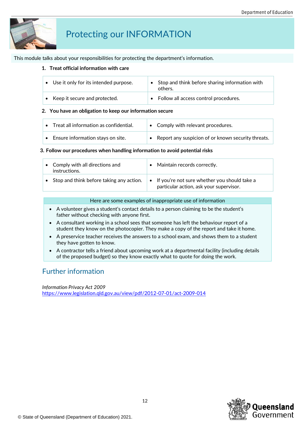

## Protecting our INFORMATION

This module talks about your responsibilities for protecting the department's information.

#### **1. Treat official information with care**

| Use it only for its intended purpose. | Stop and think before sharing information with<br>others. |
|---------------------------------------|-----------------------------------------------------------|
| • Keep it secure and protected.       | • Follow all access control procedures.                   |

#### **2. You have an obligation to keep our information secure**

| Treat all information as confidential. | $\bullet$ | Comply with relevant procedures.                     |
|----------------------------------------|-----------|------------------------------------------------------|
| Ensure information stays on site.      |           | • Report any suspicion of or known security threats. |

#### **3. Follow our procedures when handling information to avoid potential risks**

| • Comply with all directions and<br>instructions. | Maintain records correctly.                                                               |
|---------------------------------------------------|-------------------------------------------------------------------------------------------|
| • Stop and think before taking any action.        | • If you're not sure whether you should take a<br>particular action, ask your supervisor. |

#### Here are some examples of inappropriate use of information

- A volunteer gives a student's contact details to a person claiming to be the student's father without checking with anyone first.
- A consultant working in a school sees that someone has left the behaviour report of a student they know on the photocopier. They make a copy of the report and take it home.
- A preservice teacher receives the answers to a school exam, and shows them to a student they have gotten to know.
- A contractor tells a friend about upcoming work at a departmental facility (including details of the proposed budget) so they know exactly what to quote for doing the work.

## Further information

*Information Privacy Act 2009* <https://www.legislation.qld.gov.au/view/pdf/2012-07-01/act-2009-014>

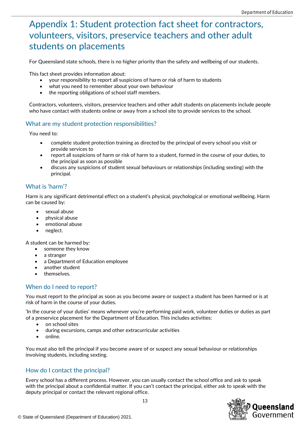## Appendix 1: Student protection fact sheet for contractors, volunteers, visitors, preservice teachers and other adult students on placements

For Queensland state schools, there is no higher priority than the safety and wellbeing of our students.

This fact sheet provides information about:

- your responsibility to report all suspicions of harm or risk of harm to students
- what you need to remember about your own behaviour
- the reporting obligations of school staff members.

Contractors, volunteers, visitors, preservice teachers and other adult students on placements include people who have contact with students online or away from a school site to provide services to the school.

### What are my student protection responsibilities?

You need to:

- complete student protection training as directed by the principal of every school you visit or provide services to
- report all suspicions of harm or risk of harm to a student, formed in the course of your duties, to the principal as soon as possible
- discuss any suspicions of student sexual behaviours or relationships (including sexting) with the principal.

### What is 'harm'?

Harm is any significant detrimental effect on a student's physical, psychological or emotional wellbeing. Harm can be caused by:

- sexual abuse
- physical abuse
- emotional abuse
- neglect.

A student can be harmed by:

- someone they know
- a stranger
- a Department of Education employee
- another student
- themselves.

## When do I need to report?

You must report to the principal as soon as you become aware or suspect a student has been harmed or is at risk of harm in the course of your duties.

'In the course of your duties' means whenever you're performing paid work, volunteer duties or duties as part of a preservice placement for the Department of Education. This includes activities:

- on school sites
- during excursions, camps and other extracurricular activities
- online.

You must also tell the principal if you become aware of or suspect any sexual behaviour or relationships involving students, including sexting.

## How do I contact the principal?

Every school has a different process. However, you can usually contact the school office and ask to speak with the principal about a confidential matter. If you can't contact the principal, either ask to speak with the deputy principal or contact the relevant regional office.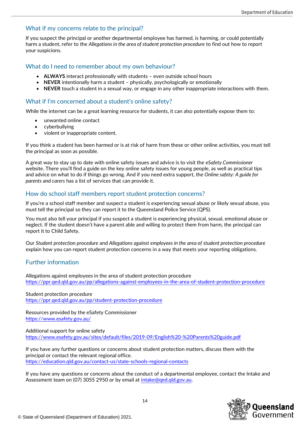### What if my concerns relate to the principal?

If you suspect the principal or another departmental employee has harmed, is harming, or could potentially harm a student, refer to the *Allegations in the area of student protection procedure* to find out how to report your suspicions.

### What do I need to remember about my own behaviour?

- **ALWAYS** interact professionally with students even outside school hours
- **NEVER** intentionally harm a student physically, psychologically or emotionally
- **NEVER** touch a student in a sexual way, or engage in any other inappropriate interactions with them.

### What if I'm concerned about a student's online safety?

While the internet can be a great learning resource for students, it can also potentially expose them to:

- unwanted online contact
- cyberbullying
- violent or inappropriate content.

If you think a student has been harmed or is at risk of harm from these or other online activities, you must tell the principal as soon as possible.

A great way to stay up to date with online safety issues and advice is to visit the *eSafety Commissioner* website. There you'll find a guide on the key online safety issues for young people, as well as practical tips and advice on what to do if things go wrong. And if you need extra support, the *Online safety: A guide for parents and carers* has a list of services that can provide it.

### How do school staff members report student protection concerns?

If you're a school staff member and suspect a student is experiencing sexual abuse or likely sexual abuse, you must tell the principal so they can report it to the Queensland Police Service (QPS).

You must also tell your principal if you suspect a student is experiencing physical, sexual, emotional abuse or neglect. If the student doesn't have a parent able and willing to protect them from harm, the principal can report it to Child Safety.

Our *Student protection procedure* and *[Allegations against employees in the area of](https://ppr.qed.qld.gov.au/pp/allegations-against-employees-in-the-area-of-student-protection-procedure) student protection procedure* explain how you can report student protection concerns in a way that meets your reporting obligations.

### Further information

Allegations against employees in the area of student protection procedure <https://ppr.qed.qld.gov.au/pp/allegations-against-employees-in-the-area-of-student-protection-procedure>

Student protection procedure <https://ppr.qed.qld.gov.au/pp/student-protection-procedure>

Resources provided by the eSafety Commissioner <https://www.esafety.gov.au/>

Additional support for online safety <https://www.esafety.gov.au/sites/default/files/2019-09/English%20-%20Parents%20guide.pdf>

If you have any further questions or concerns about student protection matters, discuss them with the principal or contact the relevant regional office. <https://education.qld.gov.au/contact-us/state-schools-regional-contacts>

If you have any questions or concerns about the conduct of a departmental employee, contact the Intake and Assessment team on (07) 3055 2950 or by email at [intake@qed.qld.gov.au.](mailto:intake@qed.qld.gov.au)

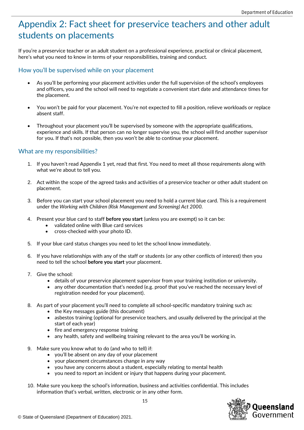## Appendix 2: Fact sheet for preservice teachers and other adult students on placements

If you're a preservice teacher or an adult student on a professional experience, practical or clinical placement, here's what you need to know in terms of your responsibilities, training and conduct.

#### How you'll be supervised while on your placement

- As you'll be performing your placement activities under the full supervision of the school's employees and officers, you and the school will need to negotiate a convenient start date and attendance times for the placement.
- You won't be paid for your placement. You're not expected to fill a position, relieve workloads or replace absent staff.
- Throughout your placement you'll be supervised by someone with the appropriate qualifications, experience and skills. If that person can no longer supervise you, the school will find another supervisor for you. If that's not possible, then you won't be able to continue your placement.

### What are my responsibilities?

- 1. If you haven't read Appendix 1 yet, read that first. You need to meet all those requirements along with what we're about to tell you.
- 2. Act within the scope of the agreed tasks and activities of a preservice teacher or other adult student on placement.
- 3. Before you can start your school placement you need to hold a current blue card. This is a requirement under the *Working with Children (Risk Management and Screening) Act 2000.*
- 4. Present your blue card to staff **before you start** (unless you are exempt) so it can be:
	- validated online with Blue card services
	- cross-checked with your photo ID.
- 5. If your blue card status changes you need to let the school know immediately.
- 6. If you have relationships with any of the staff or students (or any other conflicts of interest) then you need to tell the school **before you start** your placement.
- 7. Give the school:
	- details of your preservice placement supervisor from your training institution or university.
	- any other documentation that's needed (e.g. proof that you've reached the necessary level of registration needed for your placement).
- 8. As part of your placement you'll need to complete all school-specific mandatory training such as:
	- the Key messages guide (this document)
	- asbestos training (optional for preservice teachers, and usually delivered by the principal at the start of each year)
	- fire and emergency response training
	- any health, safety and wellbeing training relevant to the area you'll be working in.
- 9. Make sure you know what to do (and who to tell) if:
	- you'll be absent on any day of your placement
	- your placement circumstances change in any way
	- you have any concerns about a student, especially relating to mental health
	- you need to report an incident or injury that happens during your placement.
- 10. Make sure you keep the school's information, business and activities confidential. This includes information that's verbal, written, electronic or in any other form.